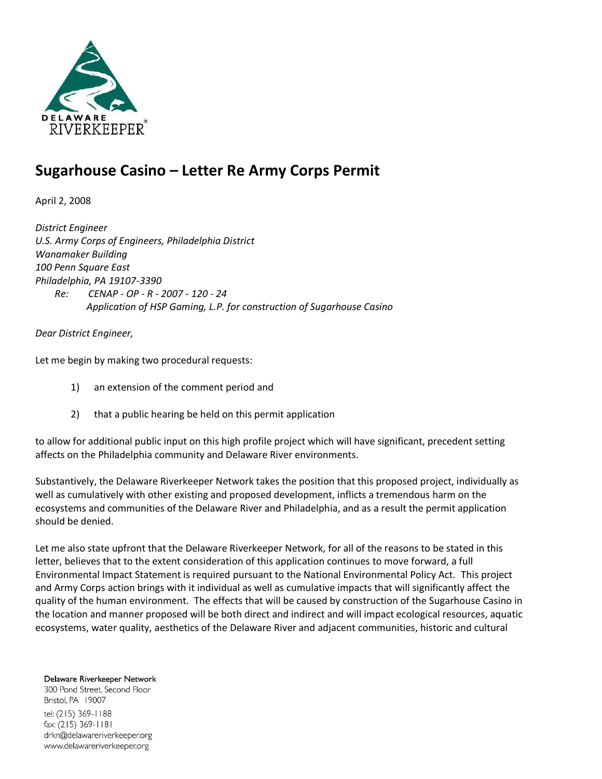

# **Sugarhouse Casino – Letter Re Army Corps Permit**

April 2, 2008

*District Engineer U.S. Army Corps of Engineers, Philadelphia District Wanamaker Building 100 Penn Square East Philadelphia, PA 19107-3390 Re: CENAP - OP - R - 2007 - 120 - 24 Application of HSP Gaming, L.P. for construction of Sugarhouse Casino*

*Dear District Engineer,*

Let me begin by making two procedural requests:

- 1) an extension of the comment period and
- 2) that a public hearing be held on this permit application

to allow for additional public input on this high profile project which will have significant, precedent setting affects on the Philadelphia community and Delaware River environments.

Substantively, the Delaware Riverkeeper Network takes the position that this proposed project, individually as well as cumulatively with other existing and proposed development, inflicts a tremendous harm on the ecosystems and communities of the Delaware River and Philadelphia, and as a result the permit application should be denied.

Let me also state upfront that the Delaware Riverkeeper Network, for all of the reasons to be stated in this letter, believes that to the extent consideration of this application continues to move forward, a full Environmental Impact Statement is required pursuant to the National Environmental Policy Act. This project and Army Corps action brings with it individual as well as cumulative impacts that will significantly affect the quality of the human environment. The effects that will be caused by construction of the Sugarhouse Casino in the location and manner proposed will be both direct and indirect and will impact ecological resources, aquatic ecosystems, water quality, aesthetics of the Delaware River and adjacent communities, historic and cultural

Delaware Riverkeeper Network 300 Pond Street, Second Floor Bristol, PA 19007 tel: (215) 369-1188 fax: (215) 369-1181 drkn@delawareriverkeeper.org www.delawareriverkeeper.org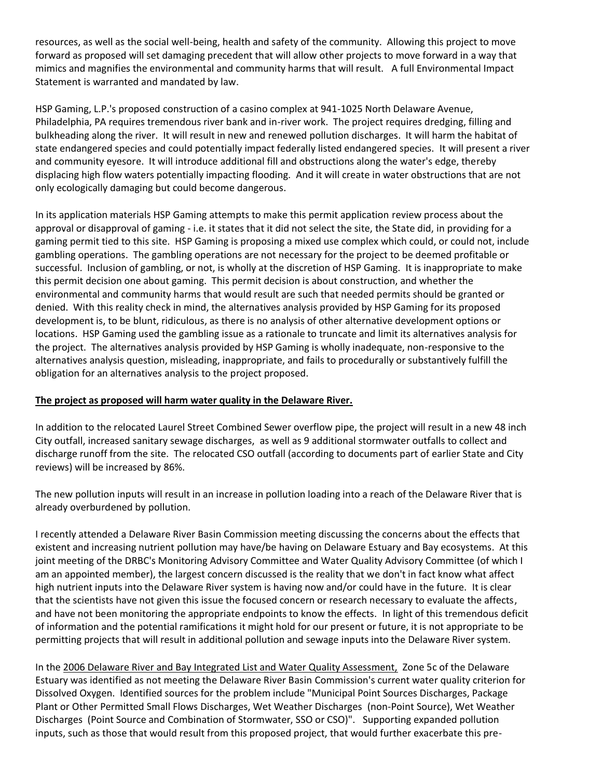resources, as well as the social well-being, health and safety of the community. Allowing this project to move forward as proposed will set damaging precedent that will allow other projects to move forward in a way that mimics and magnifies the environmental and community harms that will result. A full Environmental Impact Statement is warranted and mandated by law.

HSP Gaming, L.P.'s proposed construction of a casino complex at 941-1025 North Delaware Avenue, Philadelphia, PA requires tremendous river bank and in-river work. The project requires dredging, filling and bulkheading along the river. It will result in new and renewed pollution discharges. It will harm the habitat of state endangered species and could potentially impact federally listed endangered species. It will present a river and community eyesore. It will introduce additional fill and obstructions along the water's edge, thereby displacing high flow waters potentially impacting flooding. And it will create in water obstructions that are not only ecologically damaging but could become dangerous.

In its application materials HSP Gaming attempts to make this permit application review process about the approval or disapproval of gaming - i.e. it states that it did not select the site, the State did, in providing for a gaming permit tied to this site. HSP Gaming is proposing a mixed use complex which could, or could not, include gambling operations. The gambling operations are not necessary for the project to be deemed profitable or successful. Inclusion of gambling, or not, is wholly at the discretion of HSP Gaming. It is inappropriate to make this permit decision one about gaming. This permit decision is about construction, and whether the environmental and community harms that would result are such that needed permits should be granted or denied. With this reality check in mind, the alternatives analysis provided by HSP Gaming for its proposed development is, to be blunt, ridiculous, as there is no analysis of other alternative development options or locations. HSP Gaming used the gambling issue as a rationale to truncate and limit its alternatives analysis for the project. The alternatives analysis provided by HSP Gaming is wholly inadequate, non-responsive to the alternatives analysis question, misleading, inappropriate, and fails to procedurally or substantively fulfill the obligation for an alternatives analysis to the project proposed.

#### **The project as proposed will harm water quality in the Delaware River.**

In addition to the relocated Laurel Street Combined Sewer overflow pipe, the project will result in a new 48 inch City outfall, increased sanitary sewage discharges, as well as 9 additional stormwater outfalls to collect and discharge runoff from the site. The relocated CSO outfall (according to documents part of earlier State and City reviews) will be increased by 86%.

The new pollution inputs will result in an increase in pollution loading into a reach of the Delaware River that is already overburdened by pollution.

I recently attended a Delaware River Basin Commission meeting discussing the concerns about the effects that existent and increasing nutrient pollution may have/be having on Delaware Estuary and Bay ecosystems. At this joint meeting of the DRBC's Monitoring Advisory Committee and Water Quality Advisory Committee (of which I am an appointed member), the largest concern discussed is the reality that we don't in fact know what affect high nutrient inputs into the Delaware River system is having now and/or could have in the future. It is clear that the scientists have not given this issue the focused concern or research necessary to evaluate the affects, and have not been monitoring the appropriate endpoints to know the effects. In light of this tremendous deficit of information and the potential ramifications it might hold for our present or future, it is not appropriate to be permitting projects that will result in additional pollution and sewage inputs into the Delaware River system.

In the 2006 Delaware River and Bay Integrated List and Water Quality Assessment, Zone 5c of the Delaware Estuary was identified as not meeting the Delaware River Basin Commission's current water quality criterion for Dissolved Oxygen. Identified sources for the problem include "Municipal Point Sources Discharges, Package Plant or Other Permitted Small Flows Discharges, Wet Weather Discharges (non-Point Source), Wet Weather Discharges (Point Source and Combination of Stormwater, SSO or CSO)". Supporting expanded pollution inputs, such as those that would result from this proposed project, that would further exacerbate this pre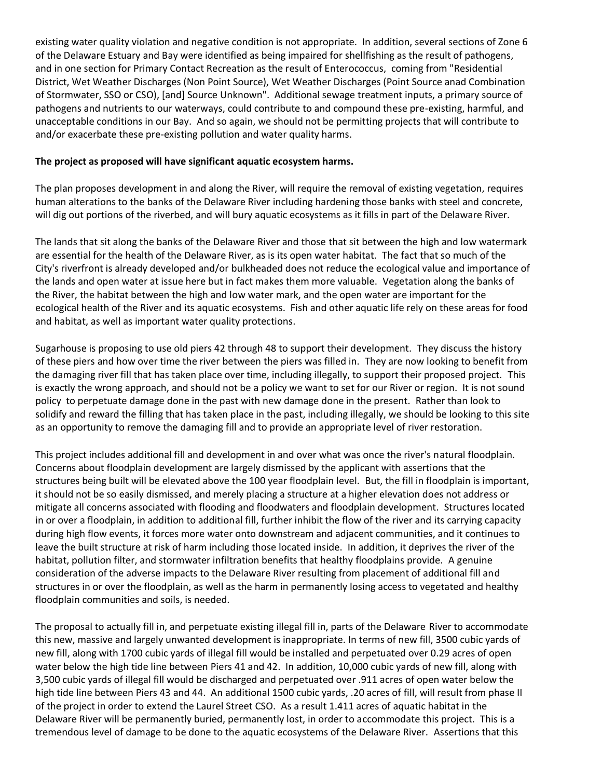existing water quality violation and negative condition is not appropriate. In addition, several sections of Zone 6 of the Delaware Estuary and Bay were identified as being impaired for shellfishing as the result of pathogens, and in one section for Primary Contact Recreation as the result of Enterococcus, coming from "Residential District, Wet Weather Discharges (Non Point Source), Wet Weather Discharges (Point Source anad Combination of Stormwater, SSO or CSO), [and] Source Unknown". Additional sewage treatment inputs, a primary source of pathogens and nutrients to our waterways, could contribute to and compound these pre-existing, harmful, and unacceptable conditions in our Bay. And so again, we should not be permitting projects that will contribute to and/or exacerbate these pre-existing pollution and water quality harms.

#### **The project as proposed will have significant aquatic ecosystem harms.**

The plan proposes development in and along the River, will require the removal of existing vegetation, requires human alterations to the banks of the Delaware River including hardening those banks with steel and concrete, will dig out portions of the riverbed, and will bury aquatic ecosystems as it fills in part of the Delaware River.

The lands that sit along the banks of the Delaware River and those that sit between the high and low watermark are essential for the health of the Delaware River, as is its open water habitat. The fact that so much of the City's riverfront is already developed and/or bulkheaded does not reduce the ecological value and importance of the lands and open water at issue here but in fact makes them more valuable. Vegetation along the banks of the River, the habitat between the high and low water mark, and the open water are important for the ecological health of the River and its aquatic ecosystems. Fish and other aquatic life rely on these areas for food and habitat, as well as important water quality protections.

Sugarhouse is proposing to use old piers 42 through 48 to support their development. They discuss the history of these piers and how over time the river between the piers was filled in. They are now looking to benefit from the damaging river fill that has taken place over time, including illegally, to support their proposed project. This is exactly the wrong approach, and should not be a policy we want to set for our River or region. It is not sound policy to perpetuate damage done in the past with new damage done in the present. Rather than look to solidify and reward the filling that has taken place in the past, including illegally, we should be looking to this site as an opportunity to remove the damaging fill and to provide an appropriate level of river restoration.

This project includes additional fill and development in and over what was once the river's natural floodplain. Concerns about floodplain development are largely dismissed by the applicant with assertions that the structures being built will be elevated above the 100 year floodplain level. But, the fill in floodplain is important, it should not be so easily dismissed, and merely placing a structure at a higher elevation does not address or mitigate all concerns associated with flooding and floodwaters and floodplain development. Structures located in or over a floodplain, in addition to additional fill, further inhibit the flow of the river and its carrying capacity during high flow events, it forces more water onto downstream and adjacent communities, and it continues to leave the built structure at risk of harm including those located inside. In addition, it deprives the river of the habitat, pollution filter, and stormwater infiltration benefits that healthy floodplains provide. A genuine consideration of the adverse impacts to the Delaware River resulting from placement of additional fill and structures in or over the floodplain, as well as the harm in permanently losing access to vegetated and healthy floodplain communities and soils, is needed.

The proposal to actually fill in, and perpetuate existing illegal fill in, parts of the Delaware River to accommodate this new, massive and largely unwanted development is inappropriate. In terms of new fill, 3500 cubic yards of new fill, along with 1700 cubic yards of illegal fill would be installed and perpetuated over 0.29 acres of open water below the high tide line between Piers 41 and 42. In addition, 10,000 cubic yards of new fill, along with 3,500 cubic yards of illegal fill would be discharged and perpetuated over .911 acres of open water below the high tide line between Piers 43 and 44. An additional 1500 cubic yards, .20 acres of fill, will result from phase II of the project in order to extend the Laurel Street CSO. As a result 1.411 acres of aquatic habitat in the Delaware River will be permanently buried, permanently lost, in order to accommodate this project. This is a tremendous level of damage to be done to the aquatic ecosystems of the Delaware River. Assertions that this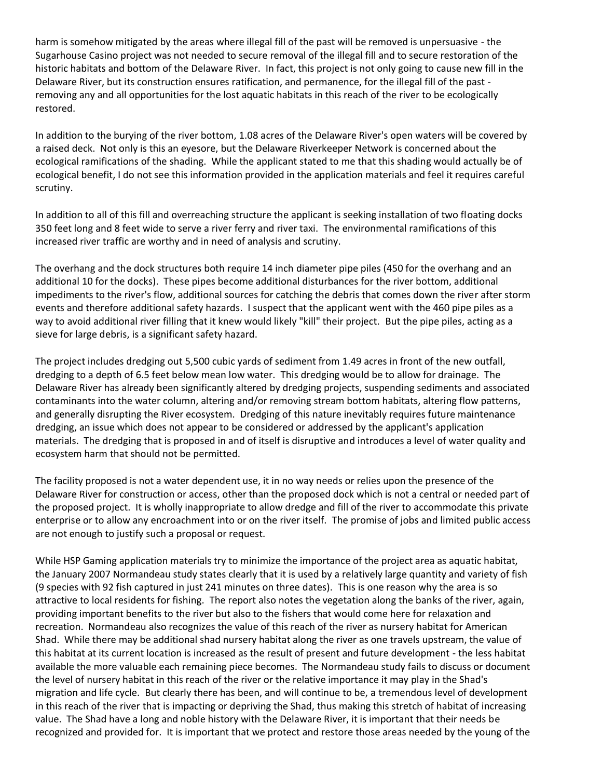harm is somehow mitigated by the areas where illegal fill of the past will be removed is unpersuasive - the Sugarhouse Casino project was not needed to secure removal of the illegal fill and to secure restoration of the historic habitats and bottom of the Delaware River. In fact, this project is not only going to cause new fill in the Delaware River, but its construction ensures ratification, and permanence, for the illegal fill of the past removing any and all opportunities for the lost aquatic habitats in this reach of the river to be ecologically restored.

In addition to the burying of the river bottom, 1.08 acres of the Delaware River's open waters will be covered by a raised deck. Not only is this an eyesore, but the Delaware Riverkeeper Network is concerned about the ecological ramifications of the shading. While the applicant stated to me that this shading would actually be of ecological benefit, I do not see this information provided in the application materials and feel it requires careful scrutiny.

In addition to all of this fill and overreaching structure the applicant is seeking installation of two floating docks 350 feet long and 8 feet wide to serve a river ferry and river taxi. The environmental ramifications of this increased river traffic are worthy and in need of analysis and scrutiny.

The overhang and the dock structures both require 14 inch diameter pipe piles (450 for the overhang and an additional 10 for the docks). These pipes become additional disturbances for the river bottom, additional impediments to the river's flow, additional sources for catching the debris that comes down the river after storm events and therefore additional safety hazards. I suspect that the applicant went with the 460 pipe piles as a way to avoid additional river filling that it knew would likely "kill" their project. But the pipe piles, acting as a sieve for large debris, is a significant safety hazard.

The project includes dredging out 5,500 cubic yards of sediment from 1.49 acres in front of the new outfall, dredging to a depth of 6.5 feet below mean low water. This dredging would be to allow for drainage. The Delaware River has already been significantly altered by dredging projects, suspending sediments and associated contaminants into the water column, altering and/or removing stream bottom habitats, altering flow patterns, and generally disrupting the River ecosystem. Dredging of this nature inevitably requires future maintenance dredging, an issue which does not appear to be considered or addressed by the applicant's application materials. The dredging that is proposed in and of itself is disruptive and introduces a level of water quality and ecosystem harm that should not be permitted.

The facility proposed is not a water dependent use, it in no way needs or relies upon the presence of the Delaware River for construction or access, other than the proposed dock which is not a central or needed part of the proposed project. It is wholly inappropriate to allow dredge and fill of the river to accommodate this private enterprise or to allow any encroachment into or on the river itself. The promise of jobs and limited public access are not enough to justify such a proposal or request.

While HSP Gaming application materials try to minimize the importance of the project area as aquatic habitat, the January 2007 Normandeau study states clearly that it is used by a relatively large quantity and variety of fish (9 species with 92 fish captured in just 241 minutes on three dates). This is one reason why the area is so attractive to local residents for fishing. The report also notes the vegetation along the banks of the river, again, providing important benefits to the river but also to the fishers that would come here for relaxation and recreation. Normandeau also recognizes the value of this reach of the river as nursery habitat for American Shad. While there may be additional shad nursery habitat along the river as one travels upstream, the value of this habitat at its current location is increased as the result of present and future development - the less habitat available the more valuable each remaining piece becomes. The Normandeau study fails to discuss or document the level of nursery habitat in this reach of the river or the relative importance it may play in the Shad's migration and life cycle. But clearly there has been, and will continue to be, a tremendous level of development in this reach of the river that is impacting or depriving the Shad, thus making this stretch of habitat of increasing value. The Shad have a long and noble history with the Delaware River, it is important that their needs be recognized and provided for. It is important that we protect and restore those areas needed by the young of the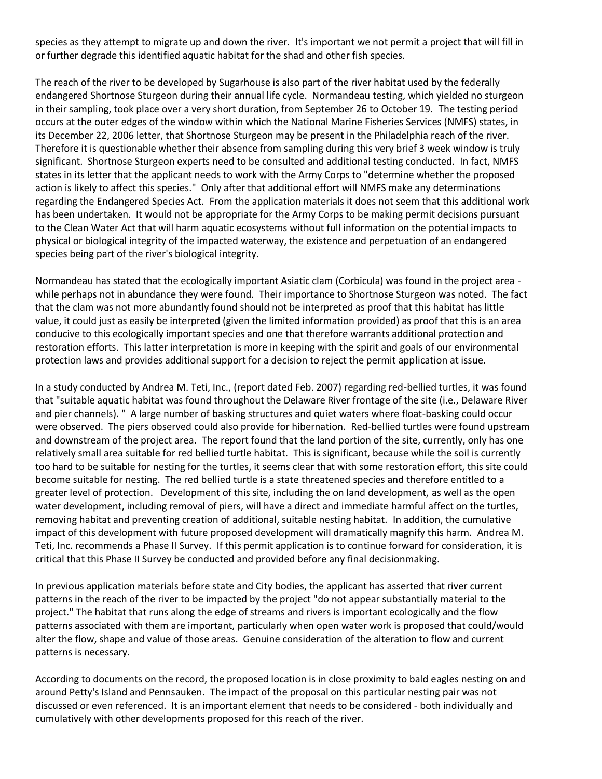species as they attempt to migrate up and down the river. It's important we not permit a project that will fill in or further degrade this identified aquatic habitat for the shad and other fish species.

The reach of the river to be developed by Sugarhouse is also part of the river habitat used by the federally endangered Shortnose Sturgeon during their annual life cycle. Normandeau testing, which yielded no sturgeon in their sampling, took place over a very short duration, from September 26 to October 19. The testing period occurs at the outer edges of the window within which the National Marine Fisheries Services (NMFS) states, in its December 22, 2006 letter, that Shortnose Sturgeon may be present in the Philadelphia reach of the river. Therefore it is questionable whether their absence from sampling during this very brief 3 week window is truly significant. Shortnose Sturgeon experts need to be consulted and additional testing conducted. In fact, NMFS states in its letter that the applicant needs to work with the Army Corps to "determine whether the proposed action is likely to affect this species." Only after that additional effort will NMFS make any determinations regarding the Endangered Species Act. From the application materials it does not seem that this additional work has been undertaken. It would not be appropriate for the Army Corps to be making permit decisions pursuant to the Clean Water Act that will harm aquatic ecosystems without full information on the potential impacts to physical or biological integrity of the impacted waterway, the existence and perpetuation of an endangered species being part of the river's biological integrity.

Normandeau has stated that the ecologically important Asiatic clam (Corbicula) was found in the project area while perhaps not in abundance they were found. Their importance to Shortnose Sturgeon was noted. The fact that the clam was not more abundantly found should not be interpreted as proof that this habitat has little value, it could just as easily be interpreted (given the limited information provided) as proof that this is an area conducive to this ecologically important species and one that therefore warrants additional protection and restoration efforts. This latter interpretation is more in keeping with the spirit and goals of our environmental protection laws and provides additional support for a decision to reject the permit application at issue.

In a study conducted by Andrea M. Teti, Inc., (report dated Feb. 2007) regarding red-bellied turtles, it was found that "suitable aquatic habitat was found throughout the Delaware River frontage of the site (i.e., Delaware River and pier channels). " A large number of basking structures and quiet waters where float-basking could occur were observed. The piers observed could also provide for hibernation. Red-bellied turtles were found upstream and downstream of the project area. The report found that the land portion of the site, currently, only has one relatively small area suitable for red bellied turtle habitat. This is significant, because while the soil is currently too hard to be suitable for nesting for the turtles, it seems clear that with some restoration effort, this site could become suitable for nesting. The red bellied turtle is a state threatened species and therefore entitled to a greater level of protection. Development of this site, including the on land development, as well as the open water development, including removal of piers, will have a direct and immediate harmful affect on the turtles, removing habitat and preventing creation of additional, suitable nesting habitat. In addition, the cumulative impact of this development with future proposed development will dramatically magnify this harm. Andrea M. Teti, Inc. recommends a Phase II Survey. If this permit application is to continue forward for consideration, it is critical that this Phase II Survey be conducted and provided before any final decisionmaking.

In previous application materials before state and City bodies, the applicant has asserted that river current patterns in the reach of the river to be impacted by the project "do not appear substantially material to the project." The habitat that runs along the edge of streams and rivers is important ecologically and the flow patterns associated with them are important, particularly when open water work is proposed that could/would alter the flow, shape and value of those areas. Genuine consideration of the alteration to flow and current patterns is necessary.

According to documents on the record, the proposed location is in close proximity to bald eagles nesting on and around Petty's Island and Pennsauken. The impact of the proposal on this particular nesting pair was not discussed or even referenced. It is an important element that needs to be considered - both individually and cumulatively with other developments proposed for this reach of the river.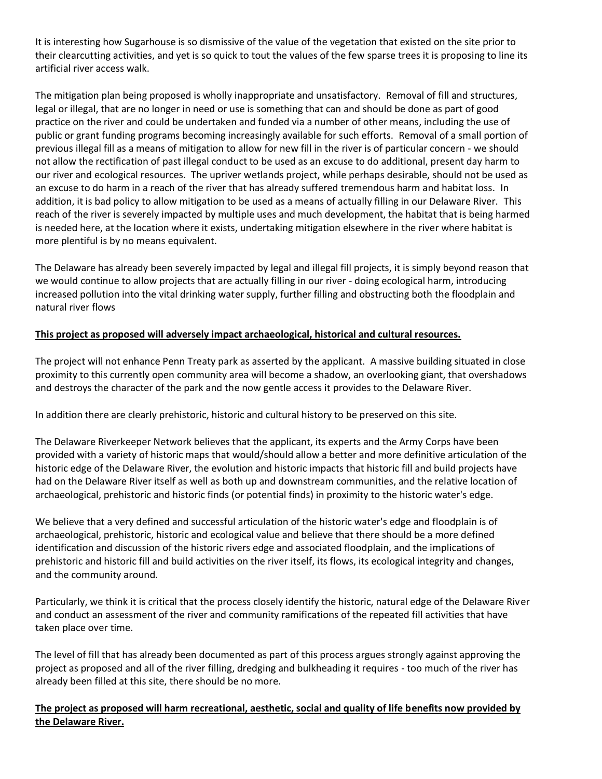It is interesting how Sugarhouse is so dismissive of the value of the vegetation that existed on the site prior to their clearcutting activities, and yet is so quick to tout the values of the few sparse trees it is proposing to line its artificial river access walk.

The mitigation plan being proposed is wholly inappropriate and unsatisfactory. Removal of fill and structures, legal or illegal, that are no longer in need or use is something that can and should be done as part of good practice on the river and could be undertaken and funded via a number of other means, including the use of public or grant funding programs becoming increasingly available for such efforts. Removal of a small portion of previous illegal fill as a means of mitigation to allow for new fill in the river is of particular concern - we should not allow the rectification of past illegal conduct to be used as an excuse to do additional, present day harm to our river and ecological resources. The upriver wetlands project, while perhaps desirable, should not be used as an excuse to do harm in a reach of the river that has already suffered tremendous harm and habitat loss. In addition, it is bad policy to allow mitigation to be used as a means of actually filling in our Delaware River. This reach of the river is severely impacted by multiple uses and much development, the habitat that is being harmed is needed here, at the location where it exists, undertaking mitigation elsewhere in the river where habitat is more plentiful is by no means equivalent.

The Delaware has already been severely impacted by legal and illegal fill projects, it is simply beyond reason that we would continue to allow projects that are actually filling in our river - doing ecological harm, introducing increased pollution into the vital drinking water supply, further filling and obstructing both the floodplain and natural river flows

## **This project as proposed will adversely impact archaeological, historical and cultural resources.**

The project will not enhance Penn Treaty park as asserted by the applicant. A massive building situated in close proximity to this currently open community area will become a shadow, an overlooking giant, that overshadows and destroys the character of the park and the now gentle access it provides to the Delaware River.

In addition there are clearly prehistoric, historic and cultural history to be preserved on this site.

The Delaware Riverkeeper Network believes that the applicant, its experts and the Army Corps have been provided with a variety of historic maps that would/should allow a better and more definitive articulation of the historic edge of the Delaware River, the evolution and historic impacts that historic fill and build projects have had on the Delaware River itself as well as both up and downstream communities, and the relative location of archaeological, prehistoric and historic finds (or potential finds) in proximity to the historic water's edge.

We believe that a very defined and successful articulation of the historic water's edge and floodplain is of archaeological, prehistoric, historic and ecological value and believe that there should be a more defined identification and discussion of the historic rivers edge and associated floodplain, and the implications of prehistoric and historic fill and build activities on the river itself, its flows, its ecological integrity and changes, and the community around.

Particularly, we think it is critical that the process closely identify the historic, natural edge of the Delaware River and conduct an assessment of the river and community ramifications of the repeated fill activities that have taken place over time.

The level of fill that has already been documented as part of this process argues strongly against approving the project as proposed and all of the river filling, dredging and bulkheading it requires - too much of the river has already been filled at this site, there should be no more.

**The project as proposed will harm recreational, aesthetic, social and quality of life benefits now provided by the Delaware River.**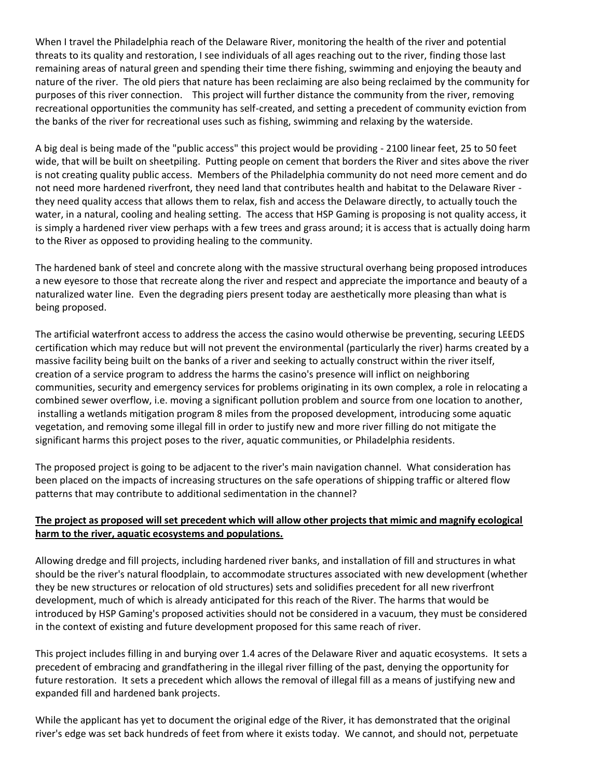When I travel the Philadelphia reach of the Delaware River, monitoring the health of the river and potential threats to its quality and restoration, I see individuals of all ages reaching out to the river, finding those last remaining areas of natural green and spending their time there fishing, swimming and enjoying the beauty and nature of the river. The old piers that nature has been reclaiming are also being reclaimed by the community for purposes of this river connection. This project will further distance the community from the river, removing recreational opportunities the community has self-created, and setting a precedent of community eviction from the banks of the river for recreational uses such as fishing, swimming and relaxing by the waterside.

A big deal is being made of the "public access" this project would be providing - 2100 linear feet, 25 to 50 feet wide, that will be built on sheetpiling. Putting people on cement that borders the River and sites above the river is not creating quality public access. Members of the Philadelphia community do not need more cement and do not need more hardened riverfront, they need land that contributes health and habitat to the Delaware River they need quality access that allows them to relax, fish and access the Delaware directly, to actually touch the water, in a natural, cooling and healing setting. The access that HSP Gaming is proposing is not quality access, it is simply a hardened river view perhaps with a few trees and grass around; it is access that is actually doing harm to the River as opposed to providing healing to the community.

The hardened bank of steel and concrete along with the massive structural overhang being proposed introduces a new eyesore to those that recreate along the river and respect and appreciate the importance and beauty of a naturalized water line. Even the degrading piers present today are aesthetically more pleasing than what is being proposed.

The artificial waterfront access to address the access the casino would otherwise be preventing, securing LEEDS certification which may reduce but will not prevent the environmental (particularly the river) harms created by a massive facility being built on the banks of a river and seeking to actually construct within the river itself, creation of a service program to address the harms the casino's presence will inflict on neighboring communities, security and emergency services for problems originating in its own complex, a role in relocating a combined sewer overflow, i.e. moving a significant pollution problem and source from one location to another, installing a wetlands mitigation program 8 miles from the proposed development, introducing some aquatic vegetation, and removing some illegal fill in order to justify new and more river filling do not mitigate the significant harms this project poses to the river, aquatic communities, or Philadelphia residents.

The proposed project is going to be adjacent to the river's main navigation channel. What consideration has been placed on the impacts of increasing structures on the safe operations of shipping traffic or altered flow patterns that may contribute to additional sedimentation in the channel?

# **The project as proposed will set precedent which will allow other projects that mimic and magnify ecological harm to the river, aquatic ecosystems and populations.**

Allowing dredge and fill projects, including hardened river banks, and installation of fill and structures in what should be the river's natural floodplain, to accommodate structures associated with new development (whether they be new structures or relocation of old structures) sets and solidifies precedent for all new riverfront development, much of which is already anticipated for this reach of the River. The harms that would be introduced by HSP Gaming's proposed activities should not be considered in a vacuum, they must be considered in the context of existing and future development proposed for this same reach of river.

This project includes filling in and burying over 1.4 acres of the Delaware River and aquatic ecosystems. It sets a precedent of embracing and grandfathering in the illegal river filling of the past, denying the opportunity for future restoration. It sets a precedent which allows the removal of illegal fill as a means of justifying new and expanded fill and hardened bank projects.

While the applicant has yet to document the original edge of the River, it has demonstrated that the original river's edge was set back hundreds of feet from where it exists today. We cannot, and should not, perpetuate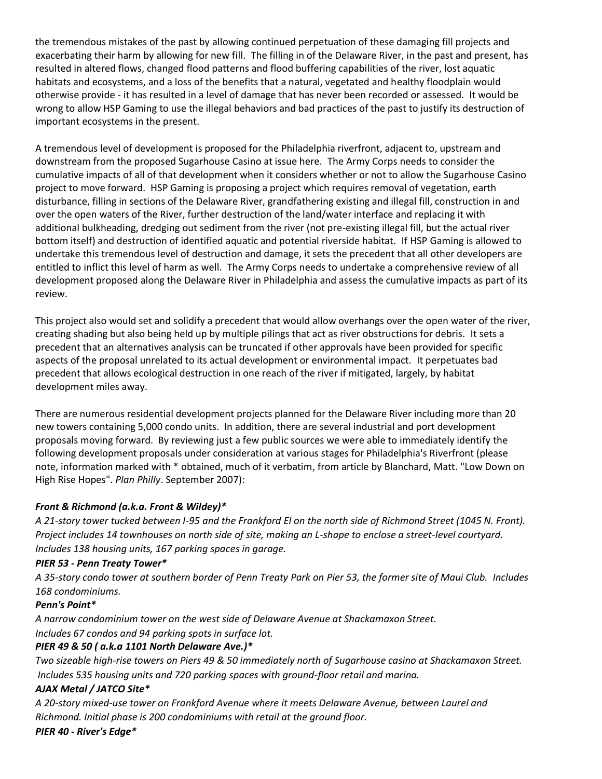the tremendous mistakes of the past by allowing continued perpetuation of these damaging fill projects and exacerbating their harm by allowing for new fill. The filling in of the Delaware River, in the past and present, has resulted in altered flows, changed flood patterns and flood buffering capabilities of the river, lost aquatic habitats and ecosystems, and a loss of the benefits that a natural, vegetated and healthy floodplain would otherwise provide - it has resulted in a level of damage that has never been recorded or assessed. It would be wrong to allow HSP Gaming to use the illegal behaviors and bad practices of the past to justify its destruction of important ecosystems in the present.

A tremendous level of development is proposed for the Philadelphia riverfront, adjacent to, upstream and downstream from the proposed Sugarhouse Casino at issue here. The Army Corps needs to consider the cumulative impacts of all of that development when it considers whether or not to allow the Sugarhouse Casino project to move forward. HSP Gaming is proposing a project which requires removal of vegetation, earth disturbance, filling in sections of the Delaware River, grandfathering existing and illegal fill, construction in and over the open waters of the River, further destruction of the land/water interface and replacing it with additional bulkheading, dredging out sediment from the river (not pre-existing illegal fill, but the actual river bottom itself) and destruction of identified aquatic and potential riverside habitat. If HSP Gaming is allowed to undertake this tremendous level of destruction and damage, it sets the precedent that all other developers are entitled to inflict this level of harm as well. The Army Corps needs to undertake a comprehensive review of all development proposed along the Delaware River in Philadelphia and assess the cumulative impacts as part of its review.

This project also would set and solidify a precedent that would allow overhangs over the open water of the river, creating shading but also being held up by multiple pilings that act as river obstructions for debris. It sets a precedent that an alternatives analysis can be truncated if other approvals have been provided for specific aspects of the proposal unrelated to its actual development or environmental impact. It perpetuates bad precedent that allows ecological destruction in one reach of the river if mitigated, largely, by habitat development miles away.

There are numerous residential development projects planned for the Delaware River including more than 20 new towers containing 5,000 condo units. In addition, there are several industrial and port development proposals moving forward. By reviewing just a few public sources we were able to immediately identify the following development proposals under consideration at various stages for Philadelphia's Riverfront (please note, information marked with \* obtained, much of it verbatim, from article by Blanchard, Matt. "Low Down on High Rise Hopes". *Plan Philly*. September 2007):

# *Front & Richmond (a.k.a. Front & Wildey)\**

*A 21-story tower tucked between I-95 and the Frankford El on the north side of Richmond Street (1045 N. Front). Project includes 14 townhouses on north side of site, making an L-shape to enclose a street-level courtyard. Includes 138 housing units, 167 parking spaces in garage.*

# *PIER 53 - Penn Treaty Tower\**

*A 35-story condo tower at southern border of Penn Treaty Park on Pier 53, the former site of Maui Club. Includes 168 condominiums.*

#### *Penn's Point\**

*A narrow condominium tower on the west side of Delaware Avenue at Shackamaxon Street. Includes 67 condos and 94 parking spots in surface lot.*

# *PIER 49 & 50 ( a.k.a 1101 North Delaware Ave.)\**

*Two sizeable high-rise towers on Piers 49 & 50 immediately north of Sugarhouse casino at Shackamaxon Street. Includes 535 housing units and 720 parking spaces with ground-floor retail and marina.*

# *AJAX Metal / JATCO Site\**

*A 20-story mixed-use tower on Frankford Avenue where it meets Delaware Avenue, between Laurel and Richmond. Initial phase is 200 condominiums with retail at the ground floor.*

*PIER 40 - River's Edge\**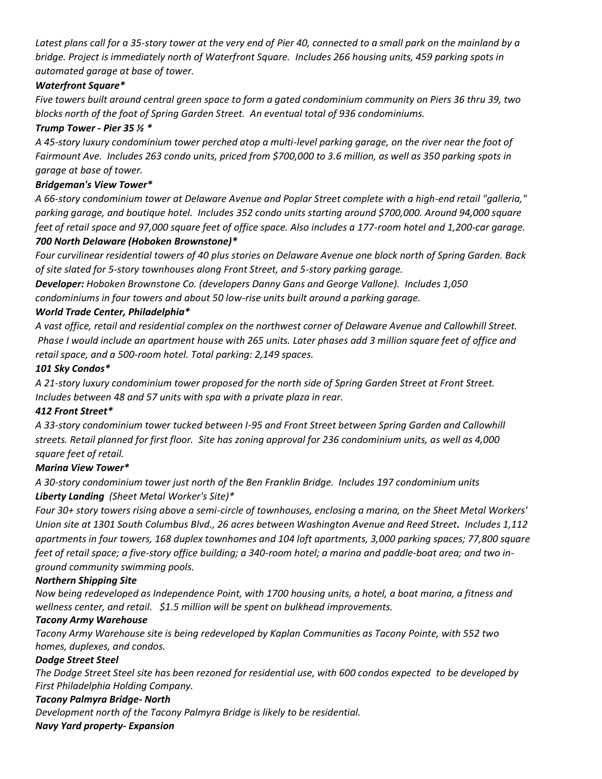*Latest plans call for a 35-story tower at the very end of Pier 40, connected to a small park on the mainland by a bridge. Project is immediately north of Waterfront Square. Includes 266 housing units, 459 parking spots in automated garage at base of tower.*

# *Waterfront Square\**

*Five towers built around central green space to form a gated condominium community on Piers 36 thru 39, two blocks north of the foot of Spring Garden Street. An eventual total of 936 condominiums.*

## *Trump Tower - Pier 35 ½ \**

*A 45-story luxury condominium tower perched atop a multi-level parking garage, on the river near the foot of Fairmount Ave. Includes 263 condo units, priced from \$700,000 to 3.6 million, as well as 350 parking spots in garage at base of tower.* 

## *Bridgeman's View Tower\**

*A 66-story condominium tower at Delaware Avenue and Poplar Street complete with a high-end retail "galleria," parking garage, and boutique hotel. Includes 352 condo units starting around \$700,000. Around 94,000 square feet of retail space and 97,000 square feet of office space. Also includes a 177-room hotel and 1,200-car garage. 700 North Delaware (Hoboken Brownstone)\** 

*Four curvilinear residential towers of 40 plus stories on Delaware Avenue one block north of Spring Garden. Back of site slated for 5-story townhouses along Front Street, and 5-story parking garage.*

*Developer: Hoboken Brownstone Co. (developers Danny Gans and George Vallone). Includes 1,050 condominiums in four towers and about 50 low-rise units built around a parking garage.*

# *World Trade Center, Philadelphia\**

*A vast office, retail and residential complex on the northwest corner of Delaware Avenue and Callowhill Street. Phase I would include an apartment house with 265 units. Later phases add 3 million square feet of office and retail space, and a 500-room hotel. Total parking: 2,149 spaces.*

#### *101 Sky Condos\**

*A 21-story luxury condominium tower proposed for the north side of Spring Garden Street at Front Street. Includes between 48 and 57 units with spa with a private plaza in rear.*

# *412 Front Street\**

*A 33-story condominium tower tucked between I-95 and Front Street between Spring Garden and Callowhill streets. Retail planned for first floor. Site has zoning approval for 236 condominium units, as well as 4,000 square feet of retail.*

# *Marina View Tower\**

*A 30-story condominium tower just north of the Ben Franklin Bridge. Includes 197 condominium units Liberty Landing (Sheet Metal Worker's Site)\**

*Four 30+ story towers rising above a semi-circle of townhouses, enclosing a marina, on the Sheet Metal Workers' Union site at 1301 South Columbus Blvd., 26 acres between Washington Avenue and Reed Street. Includes 1,112 apartments in four towers, 168 duplex townhomes and 104 loft apartments, 3,000 parking spaces; 77,800 square feet of retail space; a five-story office building; a 340-room hotel; a marina and paddle-boat area; and two inground community swimming pools.*

#### *Northern Shipping Site*

*Now being redeveloped as Independence Point, with 1700 housing units, a hotel, a boat marina, a fitness and wellness center, and retail. \$1.5 million will be spent on bulkhead improvements.* 

# *Tacony Army Warehouse*

*Tacony Army Warehouse site is being redeveloped by Kaplan Communities as Tacony Pointe, with 552 two homes, duplexes, and condos.* 

# *Dodge Street Steel*

*The Dodge Street Steel site has been rezoned for residential use, with 600 condos expected to be developed by First Philadelphia Holding Company.*

# *Tacony Palmyra Bridge- North*

*Development north of the Tacony Palmyra Bridge is likely to be residential.* 

*Navy Yard property- Expansion*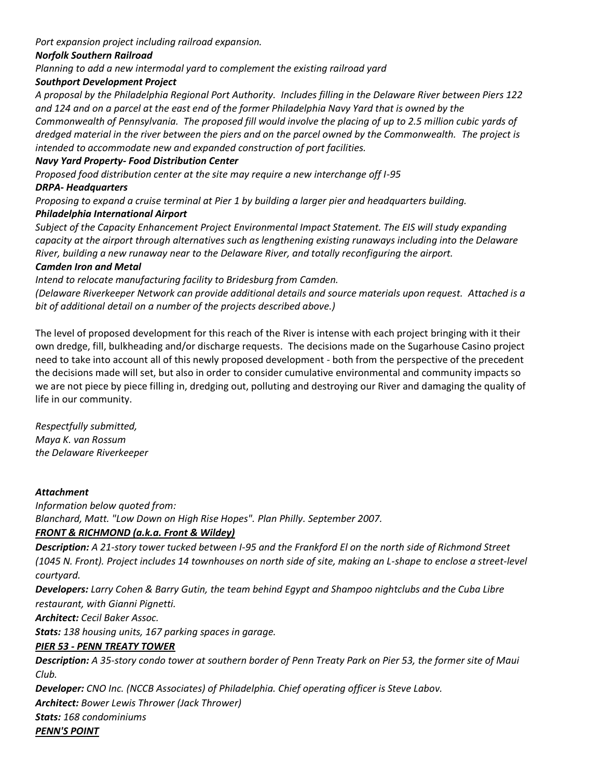*Port expansion project including railroad expansion.* 

# *Norfolk Southern Railroad*

*Planning to add a new intermodal yard to complement the existing railroad yard*

## *Southport Development Project*

*A proposal by the Philadelphia Regional Port Authority. Includes filling in the Delaware River between Piers 122 and 124 and on a parcel at the east end of the former Philadelphia Navy Yard that is owned by the Commonwealth of Pennsylvania. The proposed fill would involve the placing of up to 2.5 million cubic yards of dredged material in the river between the piers and on the parcel owned by the Commonwealth. The project is intended to accommodate new and expanded construction of port facilities.*

## *Navy Yard Property- Food Distribution Center*

*Proposed food distribution center at the site may require a new interchange off I-95*

#### *DRPA- Headquarters*

*Proposing to expand a cruise terminal at Pier 1 by building a larger pier and headquarters building.* 

## *Philadelphia International Airport*

*Subject of the Capacity Enhancement Project Environmental Impact Statement. The EIS will study expanding capacity at the airport through alternatives such as lengthening existing runaways including into the Delaware River, building a new runaway near to the Delaware River, and totally reconfiguring the airport.* 

#### *Camden Iron and Metal*

*Intend to relocate manufacturing facility to Bridesburg from Camden.*

*(Delaware Riverkeeper Network can provide additional details and source materials upon request. Attached is a bit of additional detail on a number of the projects described above.)*

The level of proposed development for this reach of the River is intense with each project bringing with it their own dredge, fill, bulkheading and/or discharge requests. The decisions made on the Sugarhouse Casino project need to take into account all of this newly proposed development - both from the perspective of the precedent the decisions made will set, but also in order to consider cumulative environmental and community impacts so we are not piece by piece filling in, dredging out, polluting and destroying our River and damaging the quality of life in our community.

*Respectfully submitted, Maya K. van Rossum the Delaware Riverkeeper*

#### *Attachment*

*Information below quoted from: Blanchard, Matt. "Low Down on High Rise Hopes". Plan Philly. September 2007.*

# *FRONT & RICHMOND (a.k.a. Front & Wildey)*

*Description: A 21-story tower tucked between I-95 and the Frankford El on the north side of Richmond Street (1045 N. Front). Project includes 14 townhouses on north side of site, making an L-shape to enclose a street-level courtyard.*

*Developers: Larry Cohen & Barry Gutin, the team behind Egypt and Shampoo nightclubs and the Cuba Libre restaurant, with Gianni Pignetti.*

*Architect: Cecil Baker Assoc.*

*Stats: 138 housing units, 167 parking spaces in garage.*

# *PIER 53 - PENN TREATY TOWER*

*Description: A 35-story condo tower at southern border of Penn Treaty Park on Pier 53, the former site of Maui Club.*

*Developer: CNO Inc. (NCCB Associates) of Philadelphia. Chief operating officer is Steve Labov.*

*Architect: Bower Lewis Thrower (Jack Thrower)*

*Stats: 168 condominiums*

*PENN'S POINT*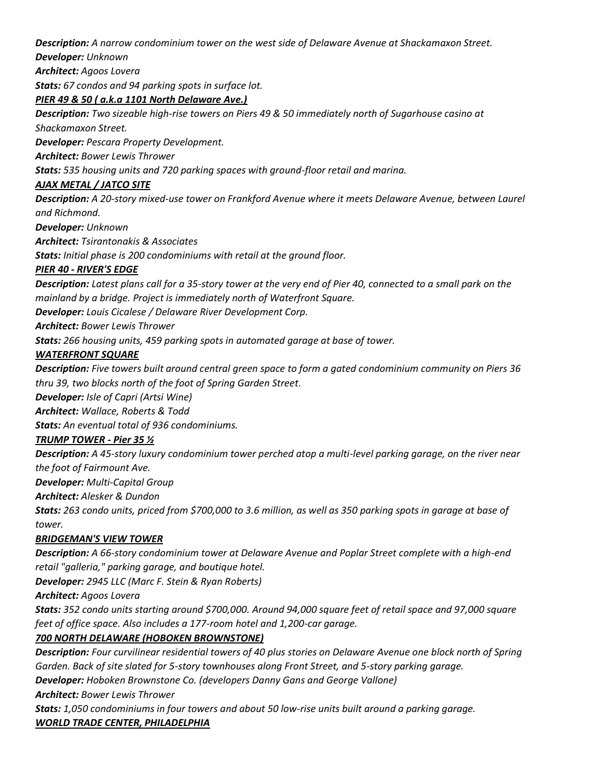## *Description: A narrow condominium tower on the west side of Delaware Avenue at Shackamaxon Street.*

*Developer: Unknown*

*Architect: Agoos Lovera*

*Stats: 67 condos and 94 parking spots in surface lot.*

## *PIER 49 & 50 ( a.k.a 1101 North Delaware Ave.)*

*Description: Two sizeable high-rise towers on Piers 49 & 50 immediately north of Sugarhouse casino at Shackamaxon Street.*

*Developer: Pescara Property Development.*

*Architect: Bower Lewis Thrower*

*Stats: 535 housing units and 720 parking spaces with ground-floor retail and marina.*

## *AJAX METAL / JATCO SITE*

*Description: A 20-story mixed-use tower on Frankford Avenue where it meets Delaware Avenue, between Laurel and Richmond.* 

*Developer: Unknown*

*Architect: Tsirantonakis & Associates*

*Stats: Initial phase is 200 condominiums with retail at the ground floor.*

## *PIER 40 - RIVER'S EDGE*

*Description: Latest plans call for a 35-story tower at the very end of Pier 40, connected to a small park on the mainland by a bridge. Project is immediately north of Waterfront Square.*

*Developer: Louis Cicalese / Delaware River Development Corp.*

*Architect: Bower Lewis Thrower*

*Stats: 266 housing units, 459 parking spots in automated garage at base of tower.*

## *WATERFRONT SQUARE*

*Description: Five towers built around central green space to form a gated condominium community on Piers 36 thru 39, two blocks north of the foot of Spring Garden Street.*

*Developer: Isle of Capri (Artsi Wine)*

*Architect: Wallace, Roberts & Todd*

*Stats: An eventual total of 936 condominiums.*

# *TRUMP TOWER - Pier 35 ½*

*Description: A 45-story luxury condominium tower perched atop a multi-level parking garage, on the river near the foot of Fairmount Ave.*

*Developer: Multi-Capital Group*

*Architect: Alesker & Dundon*

*Stats: 263 condo units, priced from \$700,000 to 3.6 million, as well as 350 parking spots in garage at base of tower.* 

# *BRIDGEMAN'S VIEW TOWER*

*Description: A 66-story condominium tower at Delaware Avenue and Poplar Street complete with a high-end retail "galleria," parking garage, and boutique hotel.*

*Developer: 2945 LLC (Marc F. Stein & Ryan Roberts)* 

*Architect: Agoos Lovera*

*Stats: 352 condo units starting around \$700,000. Around 94,000 square feet of retail space and 97,000 square feet of office space. Also includes a 177-room hotel and 1,200-car garage.*

# *700 NORTH DELAWARE (HOBOKEN BROWNSTONE)*

*Description: Four curvilinear residential towers of 40 plus stories on Delaware Avenue one block north of Spring Garden. Back of site slated for 5-story townhouses along Front Street, and 5-story parking garage.*

*Developer: Hoboken Brownstone Co. (developers Danny Gans and George Vallone)*

*Architect: Bower Lewis Thrower*

*Stats: 1,050 condominiums in four towers and about 50 low-rise units built around a parking garage. WORLD TRADE CENTER, PHILADELPHIA*